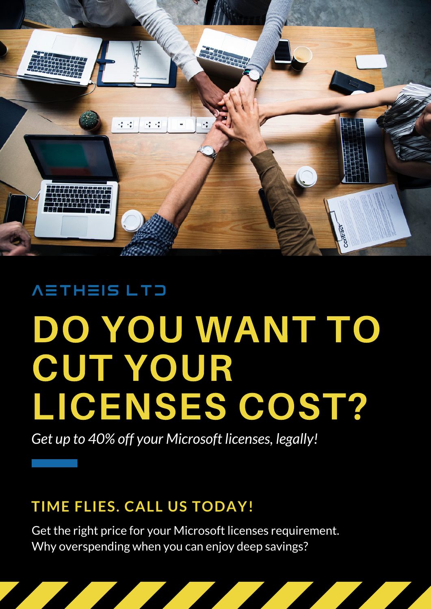

#### AETHEIS LTD

## DO YOU WANT TO CUT YOUR LICENSES COST?

*Get up to 40% off your Microsoft licenses, legally!*

#### **TIME FLIES. CALL US TODAY!**

Get the right price for your Microsoft licenses requirement. Why overspending when you can enjoy deep savings?